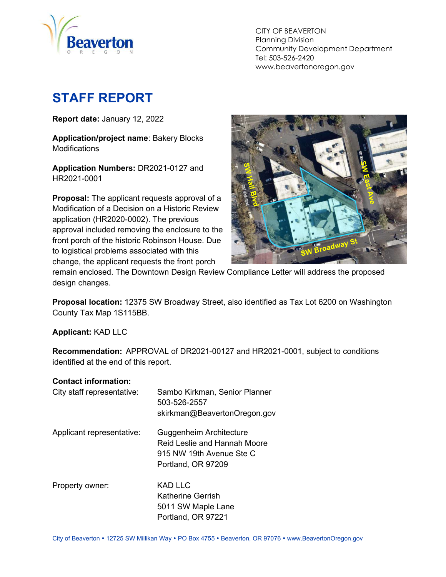

 CITY OF BEAVERTON Planning Division Community Development Department Tel: 503-526-2420 www.beavertonoregon.gov

# STAFF REPORT

Report date: January 12, 2022

Application/project name: Bakery Blocks **Modifications** 

Application Numbers: DR2021-0127 and HR2021-0001

Proposal: The applicant requests approval of a Modification of a Decision on a Historic Review application (HR2020-0002). The previous approval included removing the enclosure to the front porch of the historic Robinson House. Due to logistical problems associated with this change, the applicant requests the front porch



remain enclosed. The Downtown Design Review Compliance Letter will address the proposed design changes.

Proposal location: 12375 SW Broadway Street, also identified as Tax Lot 6200 on Washington County Tax Map 1S115BB.

#### Applicant: KAD LLC

Recommendation: APPROVAL of DR2021-00127 and HR2021-0001, subject to conditions identified at the end of this report.

#### Contact information:

| City staff representative: | Sambo Kirkman, Senior Planner<br>503-526-2557<br>skirkman@BeavertonOregon.gov                             |
|----------------------------|-----------------------------------------------------------------------------------------------------------|
| Applicant representative:  | Guggenheim Architecture<br>Reid Leslie and Hannah Moore<br>915 NW 19th Avenue Ste C<br>Portland, OR 97209 |
| Property owner:            | KAD LLC<br>Katherine Gerrish<br>5011 SW Maple Lane<br>Portland, OR 97221                                  |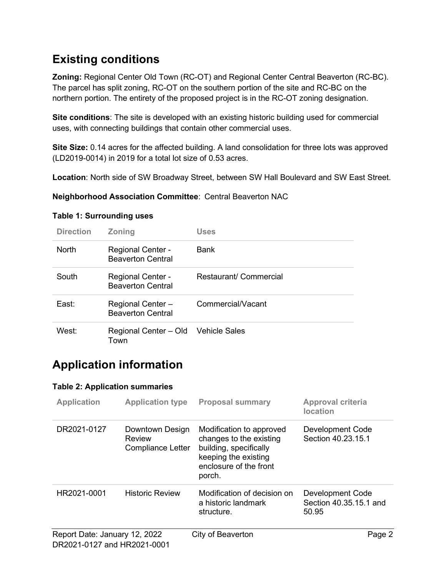### Existing conditions

Zoning: Regional Center Old Town (RC-OT) and Regional Center Central Beaverton (RC-BC). The parcel has split zoning, RC-OT on the southern portion of the site and RC-BC on the northern portion. The entirety of the proposed project is in the RC-OT zoning designation.

Site conditions: The site is developed with an existing historic building used for commercial uses, with connecting buildings that contain other commercial uses.

Site Size: 0.14 acres for the affected building. A land consolidation for three lots was approved (LD2019-0014) in 2019 for a total lot size of 0.53 acres.

Location: North side of SW Broadway Street, between SW Hall Boulevard and SW East Street.

#### Neighborhood Association Committee: Central Beaverton NAC

| <b>Direction</b>  | <b>Zoning</b>                                        | Uses                   |
|-------------------|------------------------------------------------------|------------------------|
| North             | <b>Regional Center -</b><br><b>Beaverton Central</b> | Bank                   |
| South             | <b>Regional Center -</b><br><b>Beaverton Central</b> | Restaurant/ Commercial |
| Fast <sup>.</sup> | Regional Center-<br><b>Beaverton Central</b>         | Commercial/Vacant      |
| West <sup>.</sup> | Regional Center - Old Vehicle Sales<br>Town          |                        |

#### Table 1: Surrounding uses

### Application information

#### Table 2: Application summaries

| <b>Application</b>            | <b>Application type</b>                        | <b>Proposal summary</b>                                                                                                                   | <b>Approval criteria</b><br><b>location</b>                |
|-------------------------------|------------------------------------------------|-------------------------------------------------------------------------------------------------------------------------------------------|------------------------------------------------------------|
| DR2021-0127                   | Downtown Design<br>Review<br>Compliance Letter | Modification to approved<br>changes to the existing<br>building, specifically<br>keeping the existing<br>enclosure of the front<br>porch. | <b>Development Code</b><br>Section 40.23.15.1              |
| HR2021-0001                   | <b>Historic Review</b>                         | Modification of decision on<br>a historic landmark<br>structure.                                                                          | <b>Development Code</b><br>Section 40.35.15.1 and<br>50.95 |
| Report Date: January 12, 2022 |                                                | City of Beaverton                                                                                                                         | Page 2                                                     |
| DR2021-0127 and HR2021-0001   |                                                |                                                                                                                                           |                                                            |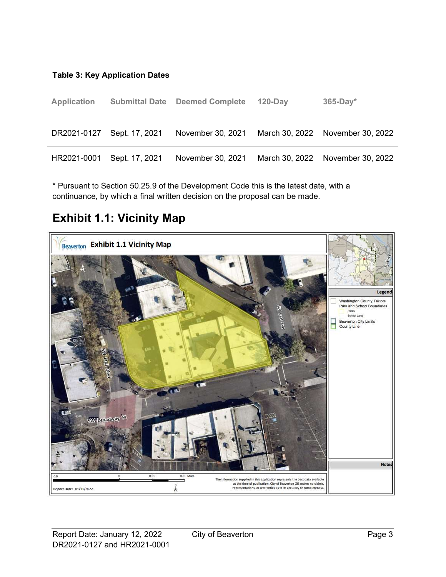#### Table 3: Key Application Dates

| <b>Application</b>         |                | <b>Submittal Date Deemed Complete</b> | $120-Dav$      | $365-Day*$        |
|----------------------------|----------------|---------------------------------------|----------------|-------------------|
| DR2021-0127 Sept. 17, 2021 |                | November 30, 2021                     | March 30, 2022 | November 30, 2022 |
| HR2021-0001                | Sept. 17, 2021 | November 30, 2021                     | March 30, 2022 | November 30, 2022 |

\* Pursuant to Section 50.25.9 of the Development Code this is the latest date, with a continuance, by which a final written decision on the proposal can be made.

### Exhibit 1.1: Vicinity Map

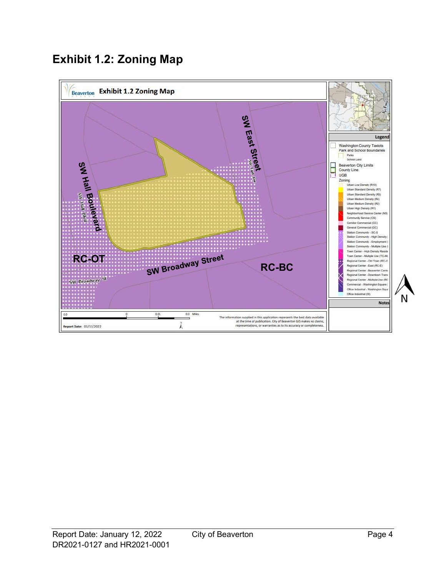### Exhibit 1.2: Zoning Map

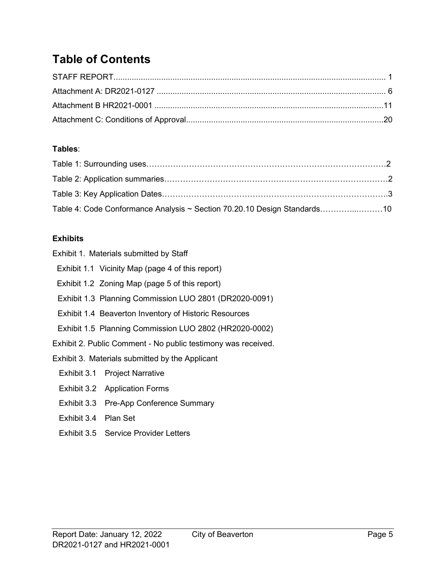## Table of Contents

#### Tables:

| Table 4: Code Conformance Analysis ~ Section 70.20.10 Design Standards10 |  |
|--------------------------------------------------------------------------|--|

#### **Exhibits**

| Exhibit 1. Materials submitted by Staff |  |  |  |  |
|-----------------------------------------|--|--|--|--|
|-----------------------------------------|--|--|--|--|

- Exhibit 1.1 Vicinity Map (page 4 of this report)
- Exhibit 1.2 Zoning Map (page 5 of this report)
- Exhibit 1.3 Planning Commission LUO 2801 (DR2020-0091)
- Exhibit 1.4 Beaverton Inventory of Historic Resources
- Exhibit 1.5 Planning Commission LUO 2802 (HR2020-0002)
- Exhibit 2. Public Comment No public testimony was received.
- Exhibit 3. Materials submitted by the Applicant
	- Exhibit 3.1 Project Narrative
	- Exhibit 3.2 Application Forms
	- Exhibit 3.3 Pre-App Conference Summary
	- Exhibit 3.4 Plan Set
	- Exhibit 3.5 Service Provider Letters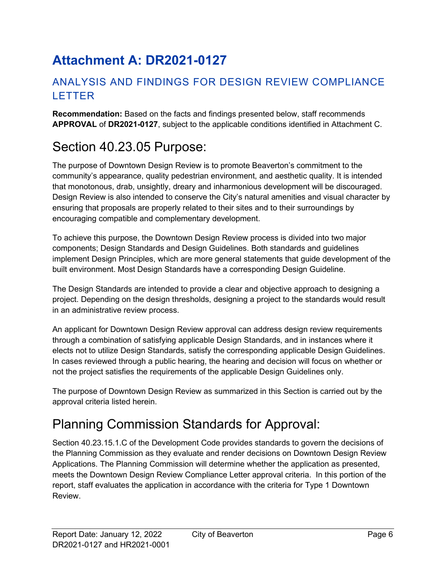# Attachment A: DR2021-0127

### ANALYSIS AND FINDINGS FOR DESIGN REVIEW COMPLIANCE LETTER

Recommendation: Based on the facts and findings presented below, staff recommends APPROVAL of DR2021-0127, subject to the applicable conditions identified in Attachment C.

# Section 40.23.05 Purpose:

The purpose of Downtown Design Review is to promote Beaverton's commitment to the community's appearance, quality pedestrian environment, and aesthetic quality. It is intended that monotonous, drab, unsightly, dreary and inharmonious development will be discouraged. Design Review is also intended to conserve the City's natural amenities and visual character by ensuring that proposals are properly related to their sites and to their surroundings by encouraging compatible and complementary development.

To achieve this purpose, the Downtown Design Review process is divided into two major components; Design Standards and Design Guidelines. Both standards and guidelines implement Design Principles, which are more general statements that guide development of the built environment. Most Design Standards have a corresponding Design Guideline.

The Design Standards are intended to provide a clear and objective approach to designing a project. Depending on the design thresholds, designing a project to the standards would result in an administrative review process.

An applicant for Downtown Design Review approval can address design review requirements through a combination of satisfying applicable Design Standards, and in instances where it elects not to utilize Design Standards, satisfy the corresponding applicable Design Guidelines. In cases reviewed through a public hearing, the hearing and decision will focus on whether or not the project satisfies the requirements of the applicable Design Guidelines only.

The purpose of Downtown Design Review as summarized in this Section is carried out by the approval criteria listed herein.

# Planning Commission Standards for Approval:

Section 40.23.15.1.C of the Development Code provides standards to govern the decisions of the Planning Commission as they evaluate and render decisions on Downtown Design Review Applications. The Planning Commission will determine whether the application as presented, meets the Downtown Design Review Compliance Letter approval criteria. In this portion of the report, staff evaluates the application in accordance with the criteria for Type 1 Downtown Review.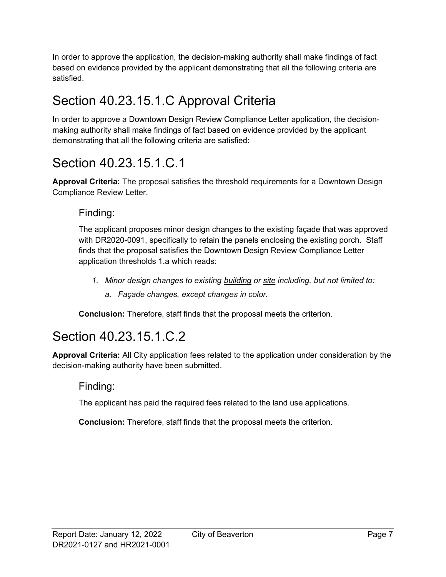In order to approve the application, the decision-making authority shall make findings of fact based on evidence provided by the applicant demonstrating that all the following criteria are satisfied.

# Section 40.23.15.1.C Approval Criteria

In order to approve a Downtown Design Review Compliance Letter application, the decisionmaking authority shall make findings of fact based on evidence provided by the applicant demonstrating that all the following criteria are satisfied:

## Section 40.23.15.1.C.1

Approval Criteria: The proposal satisfies the threshold requirements for a Downtown Design Compliance Review Letter.

#### Finding:

The applicant proposes minor design changes to the existing façade that was approved with DR2020-0091, specifically to retain the panels enclosing the existing porch. Staff finds that the proposal satisfies the Downtown Design Review Compliance Letter application thresholds 1.a which reads:

- 1. Minor design changes to existing building or site including, but not limited to:
	- a. Façade changes, except changes in color.

Conclusion: Therefore, staff finds that the proposal meets the criterion.

## Section 40.23.15.1.C.2

Approval Criteria: All City application fees related to the application under consideration by the decision-making authority have been submitted.

#### Finding:

The applicant has paid the required fees related to the land use applications.

Conclusion: Therefore, staff finds that the proposal meets the criterion.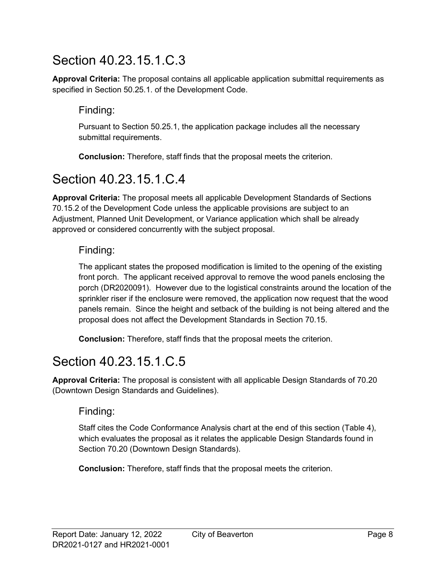## Section 40.23.15.1.C.3

Approval Criteria: The proposal contains all applicable application submittal requirements as specified in Section 50.25.1. of the Development Code.

#### Finding:

Pursuant to Section 50.25.1, the application package includes all the necessary submittal requirements.

Conclusion: Therefore, staff finds that the proposal meets the criterion.

## Section 40.23.15.1.C.4

Approval Criteria: The proposal meets all applicable Development Standards of Sections 70.15.2 of the Development Code unless the applicable provisions are subject to an Adjustment, Planned Unit Development, or Variance application which shall be already approved or considered concurrently with the subject proposal.

#### Finding:

The applicant states the proposed modification is limited to the opening of the existing front porch. The applicant received approval to remove the wood panels enclosing the porch (DR2020091). However due to the logistical constraints around the location of the sprinkler riser if the enclosure were removed, the application now request that the wood panels remain. Since the height and setback of the building is not being altered and the proposal does not affect the Development Standards in Section 70.15.

Conclusion: Therefore, staff finds that the proposal meets the criterion.

## Section 40.23.15.1.C.5

Approval Criteria: The proposal is consistent with all applicable Design Standards of 70.20 (Downtown Design Standards and Guidelines).

#### Finding:

Staff cites the Code Conformance Analysis chart at the end of this section (Table 4), which evaluates the proposal as it relates the applicable Design Standards found in Section 70.20 (Downtown Design Standards).

Conclusion: Therefore, staff finds that the proposal meets the criterion.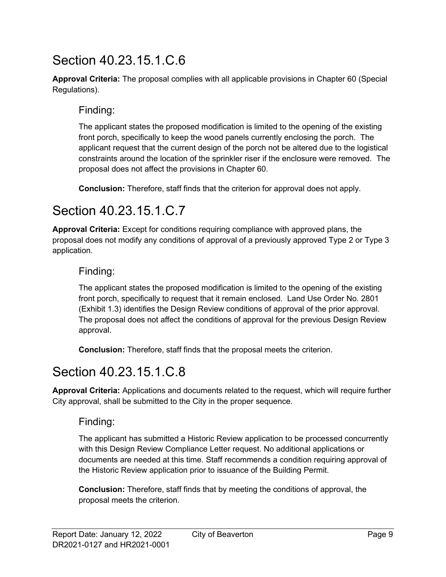# Section 40.23.15.1.C.6

Approval Criteria: The proposal complies with all applicable provisions in Chapter 60 (Special Regulations).

#### Finding:

The applicant states the proposed modification is limited to the opening of the existing front porch, specifically to keep the wood panels currently enclosing the porch. The applicant request that the current design of the porch not be altered due to the logistical constraints around the location of the sprinkler riser if the enclosure were removed. The proposal does not affect the provisions in Chapter 60.

Conclusion: Therefore, staff finds that the criterion for approval does not apply.

# Section 40.23.15.1.C.7

Approval Criteria: Except for conditions requiring compliance with approved plans, the proposal does not modify any conditions of approval of a previously approved Type 2 or Type 3 application.

#### Finding:

The applicant states the proposed modification is limited to the opening of the existing front porch, specifically to request that it remain enclosed. Land Use Order No. 2801 (Exhibit 1.3) identifies the Design Review conditions of approval of the prior approval. The proposal does not affect the conditions of approval for the previous Design Review approval.

Conclusion: Therefore, staff finds that the proposal meets the criterion.

# Section 40.23.15.1.C.8

Approval Criteria: Applications and documents related to the request, which will require further City approval, shall be submitted to the City in the proper sequence.

### Finding:

The applicant has submitted a Historic Review application to be processed concurrently with this Design Review Compliance Letter request. No additional applications or documents are needed at this time. Staff recommends a condition requiring approval of the Historic Review application prior to issuance of the Building Permit.

Conclusion: Therefore, staff finds that by meeting the conditions of approval, the proposal meets the criterion.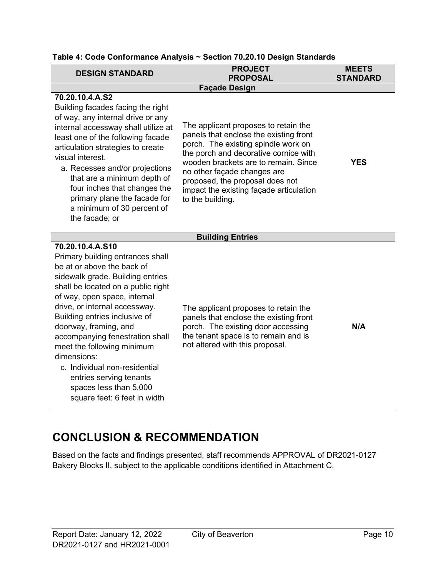| <b>DESIGN STANDARD</b>                                                                                                                                                                                                                                                                                                                                                                                                                                        | <b>PROJECT</b><br><b>PROPOSAL</b>                                                                                                                                                                                                                                                                                                       | <b>MEETS</b><br><b>STANDARD</b> |
|---------------------------------------------------------------------------------------------------------------------------------------------------------------------------------------------------------------------------------------------------------------------------------------------------------------------------------------------------------------------------------------------------------------------------------------------------------------|-----------------------------------------------------------------------------------------------------------------------------------------------------------------------------------------------------------------------------------------------------------------------------------------------------------------------------------------|---------------------------------|
|                                                                                                                                                                                                                                                                                                                                                                                                                                                               | <b>Façade Design</b>                                                                                                                                                                                                                                                                                                                    |                                 |
| 70.20.10.4.A.S2<br>Building facades facing the right<br>of way, any internal drive or any<br>internal accessway shall utilize at<br>least one of the following facade<br>articulation strategies to create<br>visual interest.<br>a. Recesses and/or projections<br>that are a minimum depth of<br>four inches that changes the<br>primary plane the facade for<br>a minimum of 30 percent of<br>the facade; or                                               | The applicant proposes to retain the<br>panels that enclose the existing front<br>porch. The existing spindle work on<br>the porch and decorative cornice with<br>wooden brackets are to remain. Since<br>no other façade changes are<br>proposed, the proposal does not<br>impact the existing façade articulation<br>to the building. | <b>YES</b>                      |
|                                                                                                                                                                                                                                                                                                                                                                                                                                                               | <b>Building Entries</b>                                                                                                                                                                                                                                                                                                                 |                                 |
| 70.20.10.4.A.S10<br>Primary building entrances shall<br>be at or above the back of<br>sidewalk grade. Building entries<br>shall be located on a public right<br>of way, open space, internal<br>drive, or internal accessway.<br>Building entries inclusive of<br>doorway, framing, and<br>accompanying fenestration shall<br>meet the following minimum<br>dimensions:<br>c. Individual non-residential<br>entries serving tenants<br>spaces less than 5,000 | The applicant proposes to retain the<br>panels that enclose the existing front<br>porch. The existing door accessing<br>the tenant space is to remain and is<br>not altered with this proposal.                                                                                                                                         | N/A                             |

#### Table 4: Code Conformance Analysis ~ Section 70.20.10 Design Standards

### CONCLUSION & RECOMMENDATION

Based on the facts and findings presented, staff recommends APPROVAL of DR2021-0127 Bakery Blocks II, subject to the applicable conditions identified in Attachment C.

square feet: 6 feet in width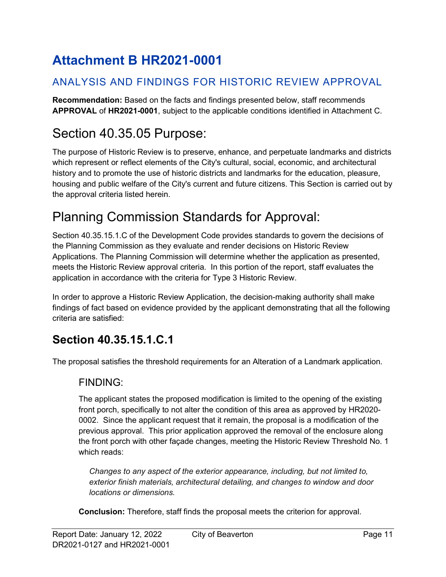# Attachment B HR2021-0001

### ANALYSIS AND FINDINGS FOR HISTORIC REVIEW APPROVAL

Recommendation: Based on the facts and findings presented below, staff recommends APPROVAL of HR2021-0001, subject to the applicable conditions identified in Attachment C.

## Section 40.35.05 Purpose:

The purpose of Historic Review is to preserve, enhance, and perpetuate landmarks and districts which represent or reflect elements of the City's cultural, social, economic, and architectural history and to promote the use of historic districts and landmarks for the education, pleasure, housing and public welfare of the City's current and future citizens. This Section is carried out by the approval criteria listed herein.

## Planning Commission Standards for Approval:

Section 40.35.15.1.C of the Development Code provides standards to govern the decisions of the Planning Commission as they evaluate and render decisions on Historic Review Applications. The Planning Commission will determine whether the application as presented, meets the Historic Review approval criteria. In this portion of the report, staff evaluates the application in accordance with the criteria for Type 3 Historic Review.

In order to approve a Historic Review Application, the decision-making authority shall make findings of fact based on evidence provided by the applicant demonstrating that all the following criteria are satisfied:

### Section 40.35.15.1.C.1

The proposal satisfies the threshold requirements for an Alteration of a Landmark application.

#### FINDING:

The applicant states the proposed modification is limited to the opening of the existing front porch, specifically to not alter the condition of this area as approved by HR2020- 0002. Since the applicant request that it remain, the proposal is a modification of the previous approval. This prior application approved the removal of the enclosure along the front porch with other façade changes, meeting the Historic Review Threshold No. 1 which reads:

Changes to any aspect of the exterior appearance, including, but not limited to, exterior finish materials, architectural detailing, and changes to window and door locations or dimensions.

Conclusion: Therefore, staff finds the proposal meets the criterion for approval.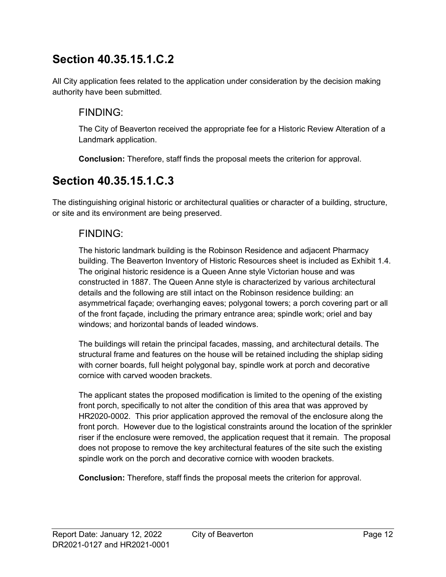### Section 40.35.15.1.C.2

All City application fees related to the application under consideration by the decision making authority have been submitted.

#### FINDING:

The City of Beaverton received the appropriate fee for a Historic Review Alteration of a Landmark application.

Conclusion: Therefore, staff finds the proposal meets the criterion for approval.

### Section 40.35.15.1.C.3

The distinguishing original historic or architectural qualities or character of a building, structure, or site and its environment are being preserved.

#### FINDING:

The historic landmark building is the Robinson Residence and adjacent Pharmacy building. The Beaverton Inventory of Historic Resources sheet is included as Exhibit 1.4. The original historic residence is a Queen Anne style Victorian house and was constructed in 1887. The Queen Anne style is characterized by various architectural details and the following are still intact on the Robinson residence building: an asymmetrical façade; overhanging eaves; polygonal towers; a porch covering part or all of the front façade, including the primary entrance area; spindle work; oriel and bay windows; and horizontal bands of leaded windows.

The buildings will retain the principal facades, massing, and architectural details. The structural frame and features on the house will be retained including the shiplap siding with corner boards, full height polygonal bay, spindle work at porch and decorative cornice with carved wooden brackets.

The applicant states the proposed modification is limited to the opening of the existing front porch, specifically to not alter the condition of this area that was approved by HR2020-0002. This prior application approved the removal of the enclosure along the front porch. However due to the logistical constraints around the location of the sprinkler riser if the enclosure were removed, the application request that it remain. The proposal does not propose to remove the key architectural features of the site such the existing spindle work on the porch and decorative cornice with wooden brackets.

Conclusion: Therefore, staff finds the proposal meets the criterion for approval.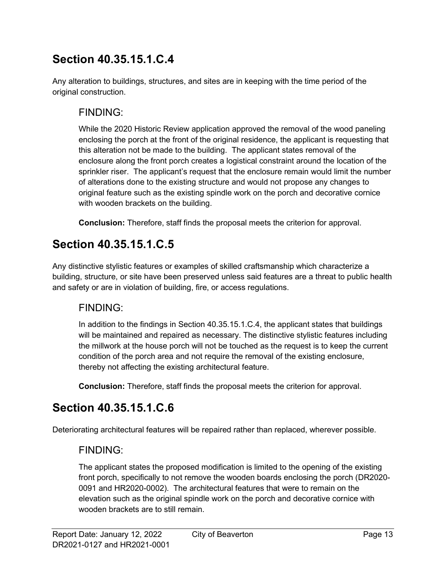## Section 40.35.15.1.C.4

Any alteration to buildings, structures, and sites are in keeping with the time period of the original construction.

#### FINDING:

While the 2020 Historic Review application approved the removal of the wood paneling enclosing the porch at the front of the original residence, the applicant is requesting that this alteration not be made to the building. The applicant states removal of the enclosure along the front porch creates a logistical constraint around the location of the sprinkler riser. The applicant's request that the enclosure remain would limit the number of alterations done to the existing structure and would not propose any changes to original feature such as the existing spindle work on the porch and decorative cornice with wooden brackets on the building.

Conclusion: Therefore, staff finds the proposal meets the criterion for approval.

### Section 40.35.15.1.C.5

Any distinctive stylistic features or examples of skilled craftsmanship which characterize a building, structure, or site have been preserved unless said features are a threat to public health and safety or are in violation of building, fire, or access regulations.

#### FINDING:

In addition to the findings in Section 40.35.15.1.C.4, the applicant states that buildings will be maintained and repaired as necessary. The distinctive stylistic features including the millwork at the house porch will not be touched as the request is to keep the current condition of the porch area and not require the removal of the existing enclosure, thereby not affecting the existing architectural feature.

Conclusion: Therefore, staff finds the proposal meets the criterion for approval.

### Section 40.35.15.1.C.6

Deteriorating architectural features will be repaired rather than replaced, wherever possible.

#### FINDING:

The applicant states the proposed modification is limited to the opening of the existing front porch, specifically to not remove the wooden boards enclosing the porch (DR2020- 0091 and HR2020-0002). The architectural features that were to remain on the elevation such as the original spindle work on the porch and decorative cornice with wooden brackets are to still remain.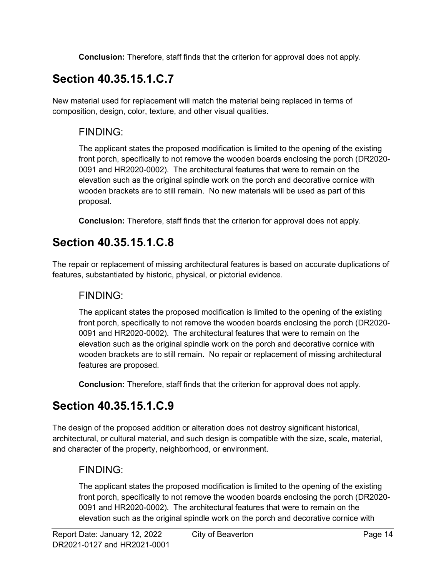Conclusion: Therefore, staff finds that the criterion for approval does not apply.

## Section 40.35.15.1.C.7

New material used for replacement will match the material being replaced in terms of composition, design, color, texture, and other visual qualities.

### FINDING:

The applicant states the proposed modification is limited to the opening of the existing front porch, specifically to not remove the wooden boards enclosing the porch (DR2020- 0091 and HR2020-0002). The architectural features that were to remain on the elevation such as the original spindle work on the porch and decorative cornice with wooden brackets are to still remain. No new materials will be used as part of this proposal.

Conclusion: Therefore, staff finds that the criterion for approval does not apply.

## Section 40.35.15.1.C.8

The repair or replacement of missing architectural features is based on accurate duplications of features, substantiated by historic, physical, or pictorial evidence.

### FINDING:

The applicant states the proposed modification is limited to the opening of the existing front porch, specifically to not remove the wooden boards enclosing the porch (DR2020- 0091 and HR2020-0002). The architectural features that were to remain on the elevation such as the original spindle work on the porch and decorative cornice with wooden brackets are to still remain. No repair or replacement of missing architectural features are proposed.

Conclusion: Therefore, staff finds that the criterion for approval does not apply.

## Section 40.35.15.1.C.9

The design of the proposed addition or alteration does not destroy significant historical, architectural, or cultural material, and such design is compatible with the size, scale, material, and character of the property, neighborhood, or environment.

### FINDING:

The applicant states the proposed modification is limited to the opening of the existing front porch, specifically to not remove the wooden boards enclosing the porch (DR2020- 0091 and HR2020-0002). The architectural features that were to remain on the elevation such as the original spindle work on the porch and decorative cornice with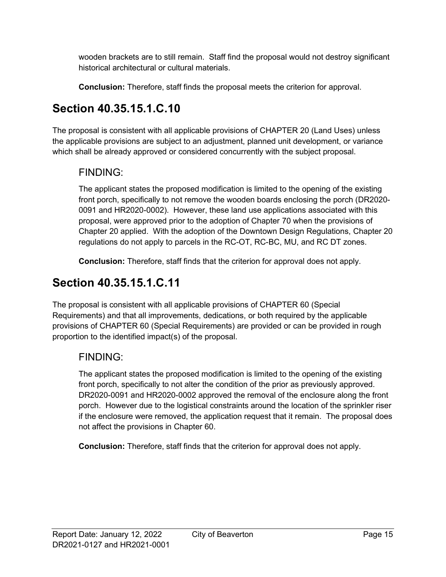wooden brackets are to still remain. Staff find the proposal would not destroy significant historical architectural or cultural materials.

Conclusion: Therefore, staff finds the proposal meets the criterion for approval.

## Section 40.35.15.1.C.10

The proposal is consistent with all applicable provisions of CHAPTER 20 (Land Uses) unless the applicable provisions are subject to an adjustment, planned unit development, or variance which shall be already approved or considered concurrently with the subject proposal.

#### FINDING:

The applicant states the proposed modification is limited to the opening of the existing front porch, specifically to not remove the wooden boards enclosing the porch (DR2020- 0091 and HR2020-0002). However, these land use applications associated with this proposal, were approved prior to the adoption of Chapter 70 when the provisions of Chapter 20 applied. With the adoption of the Downtown Design Regulations, Chapter 20 regulations do not apply to parcels in the RC-OT, RC-BC, MU, and RC DT zones.

Conclusion: Therefore, staff finds that the criterion for approval does not apply.

## Section 40.35.15.1.C.11

The proposal is consistent with all applicable provisions of CHAPTER 60 (Special Requirements) and that all improvements, dedications, or both required by the applicable provisions of CHAPTER 60 (Special Requirements) are provided or can be provided in rough proportion to the identified impact(s) of the proposal.

### FINDING:

The applicant states the proposed modification is limited to the opening of the existing front porch, specifically to not alter the condition of the prior as previously approved. DR2020-0091 and HR2020-0002 approved the removal of the enclosure along the front porch. However due to the logistical constraints around the location of the sprinkler riser if the enclosure were removed, the application request that it remain. The proposal does not affect the provisions in Chapter 60.

Conclusion: Therefore, staff finds that the criterion for approval does not apply.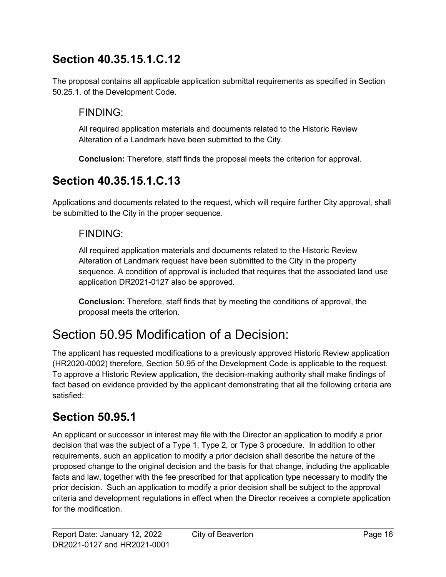## Section 40.35.15.1.C.12

The proposal contains all applicable application submittal requirements as specified in Section 50.25.1. of the Development Code.

#### FINDING:

All required application materials and documents related to the Historic Review Alteration of a Landmark have been submitted to the City.

Conclusion: Therefore, staff finds the proposal meets the criterion for approval.

## Section 40.35.15.1.C.13

Applications and documents related to the request, which will require further City approval, shall be submitted to the City in the proper sequence.

#### FINDING:

All required application materials and documents related to the Historic Review Alteration of Landmark request have been submitted to the City in the property sequence. A condition of approval is included that requires that the associated land use application DR2021-0127 also be approved.

Conclusion: Therefore, staff finds that by meeting the conditions of approval, the proposal meets the criterion.

# Section 50.95 Modification of a Decision:

The applicant has requested modifications to a previously approved Historic Review application (HR2020-0002) therefore, Section 50.95 of the Development Code is applicable to the request. To approve a Historic Review application, the decision-making authority shall make findings of fact based on evidence provided by the applicant demonstrating that all the following criteria are satisfied:

## Section 50.95.1

An applicant or successor in interest may file with the Director an application to modify a prior decision that was the subject of a Type 1, Type 2, or Type 3 procedure. In addition to other requirements, such an application to modify a prior decision shall describe the nature of the proposed change to the original decision and the basis for that change, including the applicable facts and law, together with the fee prescribed for that application type necessary to modify the prior decision. Such an application to modify a prior decision shall be subject to the approval criteria and development regulations in effect when the Director receives a complete application for the modification.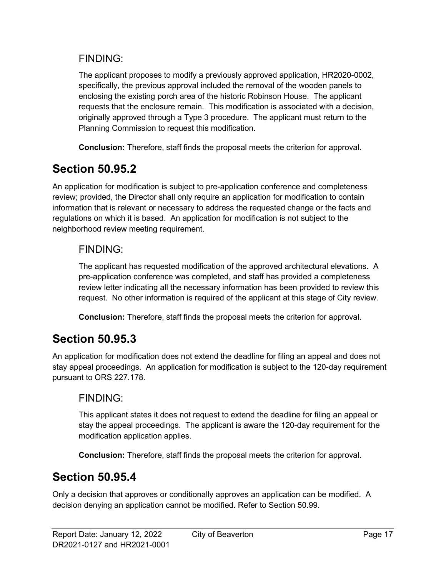#### FINDING:

The applicant proposes to modify a previously approved application, HR2020-0002, specifically, the previous approval included the removal of the wooden panels to enclosing the existing porch area of the historic Robinson House. The applicant requests that the enclosure remain. This modification is associated with a decision, originally approved through a Type 3 procedure. The applicant must return to the Planning Commission to request this modification.

Conclusion: Therefore, staff finds the proposal meets the criterion for approval.

## Section 50.95.2

An application for modification is subject to pre-application conference and completeness review; provided, the Director shall only require an application for modification to contain information that is relevant or necessary to address the requested change or the facts and regulations on which it is based. An application for modification is not subject to the neighborhood review meeting requirement.

### FINDING:

The applicant has requested modification of the approved architectural elevations. A pre-application conference was completed, and staff has provided a completeness review letter indicating all the necessary information has been provided to review this request. No other information is required of the applicant at this stage of City review.

Conclusion: Therefore, staff finds the proposal meets the criterion for approval.

### Section 50.95.3

An application for modification does not extend the deadline for filing an appeal and does not stay appeal proceedings. An application for modification is subject to the 120-day requirement pursuant to ORS 227.178.

### FINDING:

This applicant states it does not request to extend the deadline for filing an appeal or stay the appeal proceedings. The applicant is aware the 120-day requirement for the modification application applies.

Conclusion: Therefore, staff finds the proposal meets the criterion for approval.

### Section 50.95.4

Only a decision that approves or conditionally approves an application can be modified. A decision denying an application cannot be modified. Refer to Section 50.99.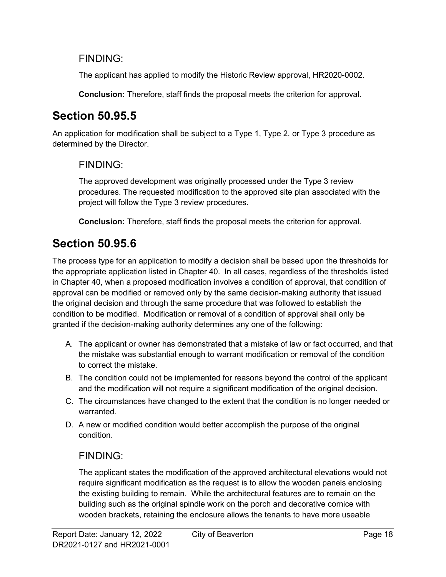#### FINDING:

The applicant has applied to modify the Historic Review approval, HR2020-0002.

Conclusion: Therefore, staff finds the proposal meets the criterion for approval.

### Section 50.95.5

An application for modification shall be subject to a Type 1, Type 2, or Type 3 procedure as determined by the Director.

#### FINDING:

The approved development was originally processed under the Type 3 review procedures. The requested modification to the approved site plan associated with the project will follow the Type 3 review procedures.

Conclusion: Therefore, staff finds the proposal meets the criterion for approval.

### Section 50.95.6

The process type for an application to modify a decision shall be based upon the thresholds for the appropriate application listed in Chapter 40. In all cases, regardless of the thresholds listed in Chapter 40, when a proposed modification involves a condition of approval, that condition of approval can be modified or removed only by the same decision-making authority that issued the original decision and through the same procedure that was followed to establish the condition to be modified. Modification or removal of a condition of approval shall only be granted if the decision-making authority determines any one of the following:

- A. The applicant or owner has demonstrated that a mistake of law or fact occurred, and that the mistake was substantial enough to warrant modification or removal of the condition to correct the mistake.
- B. The condition could not be implemented for reasons beyond the control of the applicant and the modification will not require a significant modification of the original decision.
- C. The circumstances have changed to the extent that the condition is no longer needed or warranted.
- D. A new or modified condition would better accomplish the purpose of the original condition.

### FINDING:

The applicant states the modification of the approved architectural elevations would not require significant modification as the request is to allow the wooden panels enclosing the existing building to remain. While the architectural features are to remain on the building such as the original spindle work on the porch and decorative cornice with wooden brackets, retaining the enclosure allows the tenants to have more useable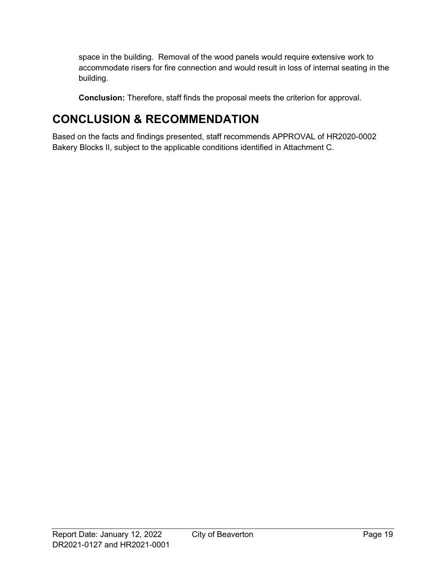space in the building. Removal of the wood panels would require extensive work to accommodate risers for fire connection and would result in loss of internal seating in the building.

Conclusion: Therefore, staff finds the proposal meets the criterion for approval.

## CONCLUSION & RECOMMENDATION

Based on the facts and findings presented, staff recommends APPROVAL of HR2020-0002 Bakery Blocks II, subject to the applicable conditions identified in Attachment C.